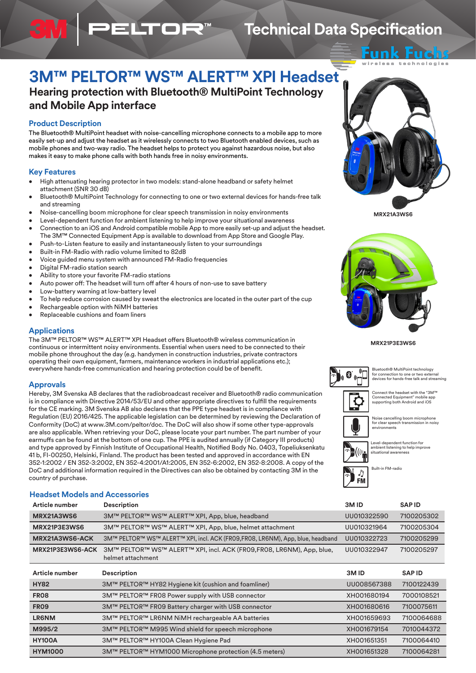# **3M™ PELTOR™ WS™ ALERT™ XPI Headset**

**Hearing protection with Bluetooth® MultiPoint Technology and Mobile App interface**

**ELTOR** 

## **Product Description**

The Bluetooth® MultiPoint headset with noise-cancelling microphone connects to a mobile app to more easily set-up and adjust the headset as it wirelessly connects to two Bluetooth enabled devices, such as mobile phones and two-way radio. The headset helps to protect you against hazardous noise, but also makes it easy to make phone calls with both hands free in noisy environments.

## **Key Features**

- High attenuating hearing protector in two models: stand-alone headband or safety helmet attachment (SNR 30 dB)
- Bluetooth® MultiPoint Technology for connecting to one or two external devices for hands-free talk and streaming
- Noise-cancelling boom microphone for clear speech transmission in noisy environments
- Level-dependent function for ambient listening to help improve your situational awareness • Connection to an iOS and Android compatible mobile App to more easily set-up and adjust the headset.
- The 3M™ Connected Equipment App is available to download from App Store and Google Play. • Push-to-Listen feature to easily and instantaneously listen to your surroundings
- Built-in FM-Radio with radio volume limited to 82dB
- Voice guided menu system with announced FM-Radio frequencies
- Digital FM-radio station search
- Ability to store your favorite FM-radio stations
- Auto power off: The headset will turn off after 4 hours of non-use to save battery
- Low-battery warning at low-battery level
- To help reduce corrosion caused by sweat the electronics are located in the outer part of the cup
- Rechargeable option with NiMH batteries
- Replaceable cushions and foam liners

## **Applications**

The 3M™ PELTOR™ WS™ ALERT™ XPI Headset offers Bluetooth® wireless communication in continuous or intermittent noisy environments. Essential when users need to be connected to their mobile phone throughout the day (e.g. handymen in construction industries, private contractors operating their own equipment, farmers, maintenance workers in industrial applications etc.); everywhere hands-free communication and hearing protection could be of benefit.

## **Approvals**

Hereby, 3M Svenska AB declares that the radiobroadcast receiver and Bluetooth® radio communication is in compliance with Directive 2014/53/EU and other appropriate directives to fulfill the requirements for the CE marking. 3M Svenska AB also declares that the PPE type headset is in compliance with Regulation (EU) 2016/425. The applicable legislation can be determined by reviewing the Declaration of Conformity (DoC) at www.3M.com/peltor/doc. The DoC will also show if some other type-approvals are also applicable. When retrieving your DoC, please locate your part number. The part number of your earmuffs can be found at the bottom of one cup. The PPE is audited annually (if Category III products) and type approved by Finnish Institute of Occupational Health, Notified Body No. 0403, Topeliuksenkatu 41 b, FI-00250, Helsinki, Finland. The product has been tested and approved in accordance with EN 352-1:2002 / EN 352-3:2002, EN 352-4:2001/A1:2005, EN 352-6:2002, EN 352-8:2008. A copy of the DoC and additional information required in the Directives can also be obtained by contacting 3M in the country of purchase.

## **Headset Models and Accessories**

| 3M<br><b>PELTOR</b> |  |
|---------------------|--|
| Ø                   |  |

Eπ technologies

**Technical Data Specification**

**MRX21A3WS6**



**MRX21P3E3WS6**



Bluetooth® MultiPoint technology for connection to one or two external devices for hands-free talk and streaming



 $\mathsf{Connect}\xspace$  the headset with the "3M $^{\mathsf{m}}$ Connected Equipment" mobile app supporting both Android and iOS



Level-dependent function for ambient listening to help improve ampiont notoning<br>situational aware

Built-in FM-radio



| Article number          | <b>Description</b>                                                                         | 3M <sub>ID</sub> | <b>SAPID</b> |
|-------------------------|--------------------------------------------------------------------------------------------|------------------|--------------|
| MRX21A3WS6              | 3M™ PELTOR™ WS™ ALERT™ XPI, App, blue, headband                                            | UU010322590      | 7100205302   |
| MRX21P3E3WS6            | 3M™ PELTOR™ WS™ ALERT™ XPI, App, blue, helmet attachment                                   | UU010321964      | 7100205304   |
| MRX21A3WS6-ACK          | 3M™ PELTOR™ WS™ ALERT™ XPI, incl. ACK (FR09,FR08, LR6NM), App, blue, headband              | UU010322723      | 7100205299   |
| <b>MRX21P3E3WS6-ACK</b> | 3M™ PELTOR™ WS™ ALERT™ XPI, incl. ACK (FR09, FR08, LR6NM), App, blue,<br>helmet attachment | UU010322947      | 7100205297   |

| Article number   | <b>Description</b>                                     | 3M <sub>ID</sub> | <b>SAPID</b> |
|------------------|--------------------------------------------------------|------------------|--------------|
| <b>HY82</b>      | 3M™ PELTOR™ HY82 Hygiene kit (cushion and foamliner)   | UU008567388      | 7100122439   |
| FR <sub>08</sub> | 3M™ PELTOR™ FR08 Power supply with USB connector       | XH001680194      | 7000108521   |
| <b>FR09</b>      | 3M™ PELTOR™ FR09 Battery charger with USB connector    | XH001680616      | 7100075611   |
| <b>LR6NM</b>     | 3M™ PELTOR™ LR6NM NiMH rechargeable AA batteries       | XH001659693      | 7100064688   |
| M995/2           | 3M™ PELTOR™ M995 Wind shield for speech microphone     | XH001679154      | 7010044372   |
| <b>HY100A</b>    | 3M™ PELTOR™ HY100A Clean Hygiene Pad                   | XH001651351      | 7100064410   |
| <b>HYM1000</b>   | 3M™ PELTOR™ HYM1000 Microphone protection (4.5 meters) | XH001651328      | 7100064281   |